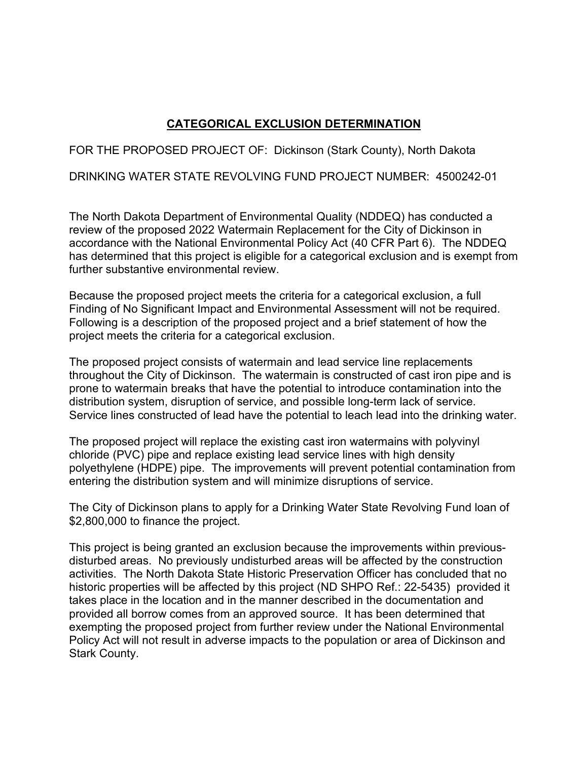## **CATEGORICAL EXCLUSION DETERMINATION**

FOR THE PROPOSED PROJECT OF: Dickinson (Stark County), North Dakota

DRINKING WATER STATE REVOLVING FUND PROJECT NUMBER: 4500242-01

The North Dakota Department of Environmental Quality (NDDEQ) has conducted a review of the proposed 2022 Watermain Replacement for the City of Dickinson in accordance with the National Environmental Policy Act (40 CFR Part 6). The NDDEQ has determined that this project is eligible for a categorical exclusion and is exempt from further substantive environmental review.

Because the proposed project meets the criteria for a categorical exclusion, a full Finding of No Significant Impact and Environmental Assessment will not be required. Following is a description of the proposed project and a brief statement of how the project meets the criteria for a categorical exclusion.

The proposed project consists of watermain and lead service line replacements throughout the City of Dickinson. The watermain is constructed of cast iron pipe and is prone to watermain breaks that have the potential to introduce contamination into the distribution system, disruption of service, and possible long-term lack of service. Service lines constructed of lead have the potential to leach lead into the drinking water.

The proposed project will replace the existing cast iron watermains with polyvinyl chloride (PVC) pipe and replace existing lead service lines with high density polyethylene (HDPE) pipe. The improvements will prevent potential contamination from entering the distribution system and will minimize disruptions of service.

The City of Dickinson plans to apply for a Drinking Water State Revolving Fund loan of \$2,800,000 to finance the project.

This project is being granted an exclusion because the improvements within previousdisturbed areas. No previously undisturbed areas will be affected by the construction activities. The North Dakota State Historic Preservation Officer has concluded that no historic properties will be affected by this project (ND SHPO Ref.: 22-5435) provided it takes place in the location and in the manner described in the documentation and provided all borrow comes from an approved source. It has been determined that exempting the proposed project from further review under the National Environmental Policy Act will not result in adverse impacts to the population or area of Dickinson and Stark County.